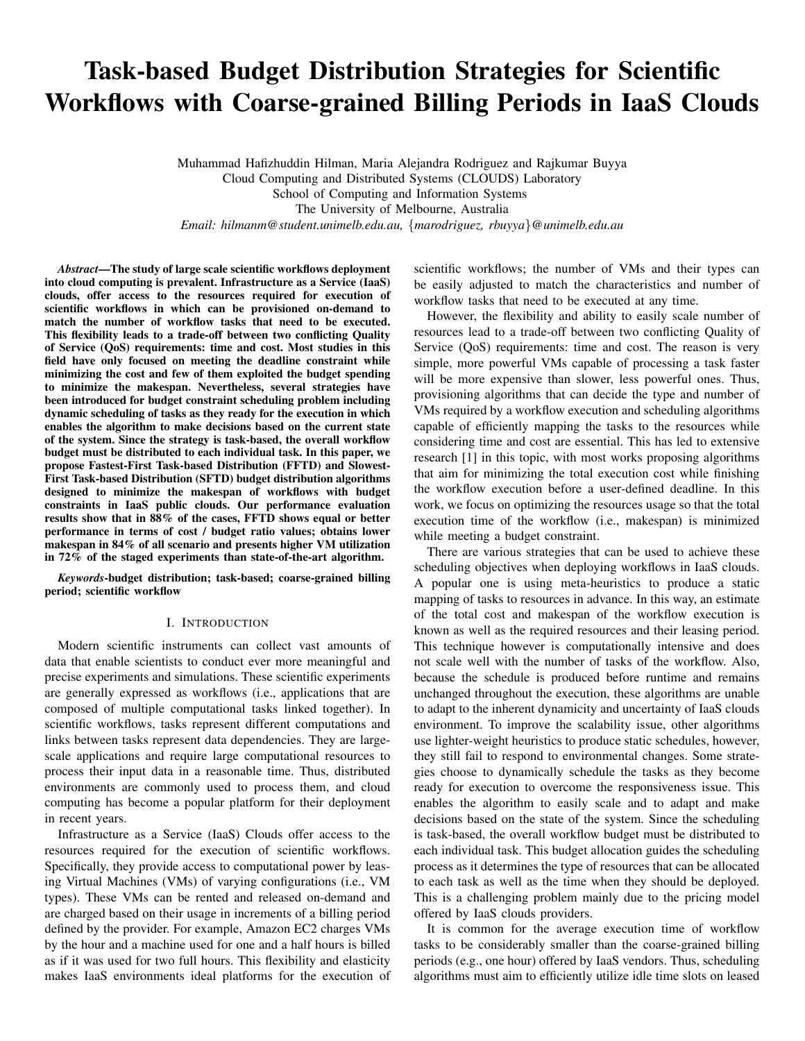# Task-based Budget Distribution Strategies for Scientific Workflows with Coarse-grained Billing Periods in IaaS Clouds

Muhammad Hafizhuddin Hilman, Maria Alejandra Rodriguez and Rajkumar Buyya Cloud Computing and Distributed Systems (CLOUDS) Laboratory School of Computing and Information Systems The University of Melbourne, Australia *Email: hilmanm@student.unimelb.edu.au,* {*marodriguez, rbuyya*}*@unimelb.edu.au*

*Abstract*—The study of large scale scientific workflows deployment into cloud computing is prevalent. Infrastructure as a Service (IaaS) clouds, offer access to the resources required for execution of scientific workflows in which can be provisioned on-demand to match the number of workflow tasks that need to be executed. This flexibility leads to a trade-off between two conflicting Quality of Service (QoS) requirements: time and cost. Most studies in this field have only focused on meeting the deadline constraint while minimizing the cost and few of them exploited the budget spending to minimize the makespan. Nevertheless, several strategies have been introduced for budget constraint scheduling problem including dynamic scheduling of tasks as they ready for the execution in which enables the algorithm to make decisions based on the current state of the system. Since the strategy is task-based, the overall workflow budget must be distributed to each individual task. In this paper, we propose Fastest-First Task-based Distribution (FFTD) and Slowest-First Task-based Distribution (SFTD) budget distribution algorithms designed to minimize the makespan of workflows with budget constraints in IaaS public clouds. Our performance evaluation results show that in 88% of the cases, FFTD shows equal or better performance in terms of cost / budget ratio values; obtains lower makespan in 84% of all scenario and presents higher VM utilization in 72% of the staged experiments than state-of-the-art algorithm.

*Keywords*-budget distribution; task-based; coarse-grained billing period; scientific workflow

#### I. INTRODUCTION

Modern scientific instruments can collect vast amounts of data that enable scientists to conduct ever more meaningful and precise experiments and simulations. These scientific experiments are generally expressed as workflows (i.e., applications that are composed of multiple computational tasks linked together). In scientific workflows, tasks represent different computations and links between tasks represent data dependencies. They are largescale applications and require large computational resources to process their input data in a reasonable time. Thus, distributed environments are commonly used to process them, and cloud computing has become a popular platform for their deployment in recent years.

Infrastructure as a Service (IaaS) Clouds offer access to the resources required for the execution of scientific workflows. Specifically, they provide access to computational power by leasing Virtual Machines (VMs) of varying configurations (i.e., VM types). These VMs can be rented and released on-demand and are charged based on their usage in increments of a billing period defined by the provider. For example, Amazon EC2 charges VMs by the hour and a machine used for one and a half hours is billed as if it was used for two full hours. This flexibility and elasticity makes IaaS environments ideal platforms for the execution of scientific workflows; the number of VMs and their types can be easily adjusted to match the characteristics and number of workflow tasks that need to be executed at any time.

However, the flexibility and ability to easily scale number of resources lead to a trade-off between two conflicting Quality of Service (QoS) requirements: time and cost. The reason is very simple, more powerful VMs capable of processing a task faster will be more expensive than slower, less powerful ones. Thus, provisioning algorithms that can decide the type and number of VMs required by a workflow execution and scheduling algorithms capable of efficiently mapping the tasks to the resources while considering time and cost are essential. This has led to extensive research [1] in this topic, with most works proposing algorithms that aim for minimizing the total execution cost while finishing the workflow execution before a user-defined deadline. In this work, we focus on optimizing the resources usage so that the total execution time of the workflow (i.e., makespan) is minimized while meeting a budget constraint.

There are various strategies that can be used to achieve these scheduling objectives when deploying workflows in IaaS clouds. A popular one is using meta-heuristics to produce a static mapping of tasks to resources in advance. In this way, an estimate of the total cost and makespan of the workflow execution is known as well as the required resources and their leasing period. This technique however is computationally intensive and does not scale well with the number of tasks of the workflow. Also, because the schedule is produced before runtime and remains unchanged throughout the execution, these algorithms are unable to adapt to the inherent dynamicity and uncertainty of IaaS clouds environment. To improve the scalability issue, other algorithms use lighter-weight heuristics to produce static schedules, however, they still fail to respond to environmental changes. Some strategies choose to dynamically schedule the tasks as they become ready for execution to overcome the responsiveness issue. This enables the algorithm to easily scale and to adapt and make decisions based on the state of the system. Since the scheduling is task-based, the overall workflow budget must be distributed to each individual task. This budget allocation guides the scheduling process as it determines the type of resources that can be allocated to each task as well as the time when they should be deployed. This is a challenging problem mainly due to the pricing model offered by IaaS clouds providers.

It is common for the average execution time of workflow tasks to be considerably smaller than the coarse-grained billing periods (e.g., one hour) offered by IaaS vendors. Thus, scheduling algorithms must aim to efficiently utilize idle time slots on leased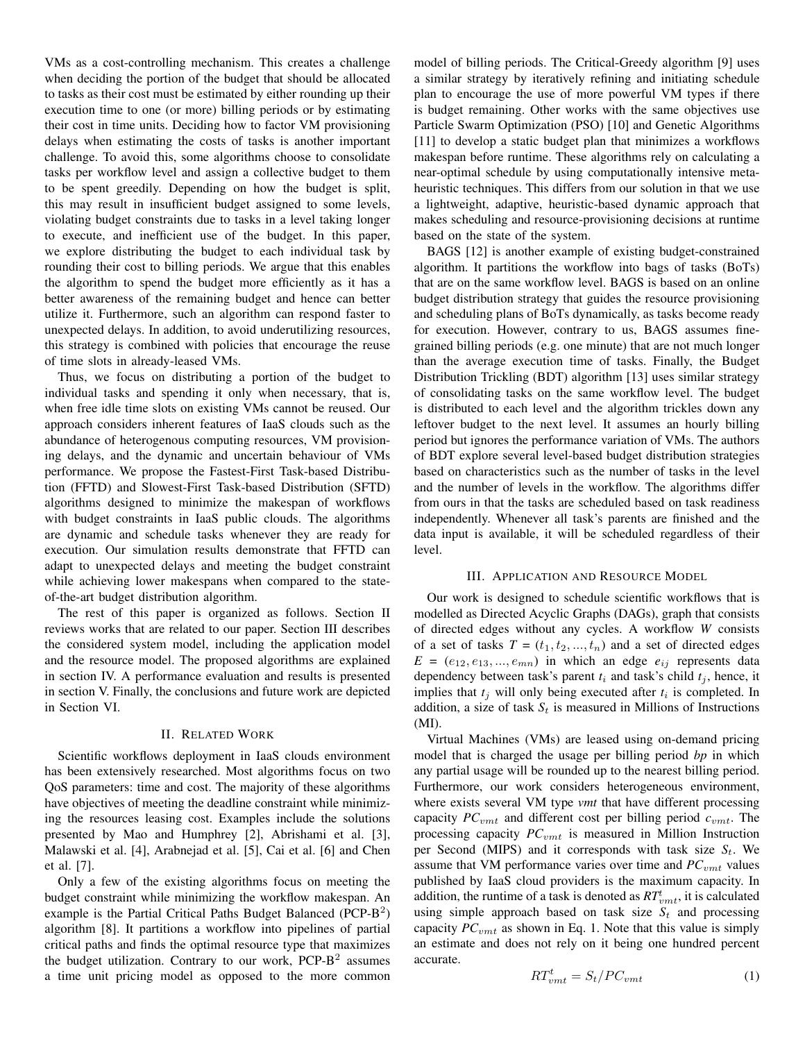VMs as a cost-controlling mechanism. This creates a challenge when deciding the portion of the budget that should be allocated to tasks as their cost must be estimated by either rounding up their execution time to one (or more) billing periods or by estimating their cost in time units. Deciding how to factor VM provisioning delays when estimating the costs of tasks is another important challenge. To avoid this, some algorithms choose to consolidate tasks per workflow level and assign a collective budget to them to be spent greedily. Depending on how the budget is split, this may result in insufficient budget assigned to some levels, violating budget constraints due to tasks in a level taking longer to execute, and inefficient use of the budget. In this paper, we explore distributing the budget to each individual task by rounding their cost to billing periods. We argue that this enables the algorithm to spend the budget more efficiently as it has a better awareness of the remaining budget and hence can better utilize it. Furthermore, such an algorithm can respond faster to unexpected delays. In addition, to avoid underutilizing resources, this strategy is combined with policies that encourage the reuse of time slots in already-leased VMs.

Thus, we focus on distributing a portion of the budget to individual tasks and spending it only when necessary, that is, when free idle time slots on existing VMs cannot be reused. Our approach considers inherent features of IaaS clouds such as the abundance of heterogenous computing resources, VM provisioning delays, and the dynamic and uncertain behaviour of VMs performance. We propose the Fastest-First Task-based Distribution (FFTD) and Slowest-First Task-based Distribution (SFTD) algorithms designed to minimize the makespan of workflows with budget constraints in IaaS public clouds. The algorithms are dynamic and schedule tasks whenever they are ready for execution. Our simulation results demonstrate that FFTD can adapt to unexpected delays and meeting the budget constraint while achieving lower makespans when compared to the stateof-the-art budget distribution algorithm.

The rest of this paper is organized as follows. Section II reviews works that are related to our paper. Section III describes the considered system model, including the application model and the resource model. The proposed algorithms are explained in section IV. A performance evaluation and results is presented in section V. Finally, the conclusions and future work are depicted in Section VI.

# II. RELATED WORK

Scientific workflows deployment in IaaS clouds environment has been extensively researched. Most algorithms focus on two QoS parameters: time and cost. The majority of these algorithms have objectives of meeting the deadline constraint while minimizing the resources leasing cost. Examples include the solutions presented by Mao and Humphrey [2], Abrishami et al. [3], Malawski et al. [4], Arabnejad et al. [5], Cai et al. [6] and Chen et al. [7].

Only a few of the existing algorithms focus on meeting the budget constraint while minimizing the workflow makespan. An example is the Partial Critical Paths Budget Balanced (PCP- $B<sup>2</sup>$ ) algorithm [8]. It partitions a workflow into pipelines of partial critical paths and finds the optimal resource type that maximizes the budget utilization. Contrary to our work,  $PCP-B<sup>2</sup>$  assumes a time unit pricing model as opposed to the more common model of billing periods. The Critical-Greedy algorithm [9] uses a similar strategy by iteratively refining and initiating schedule plan to encourage the use of more powerful VM types if there is budget remaining. Other works with the same objectives use Particle Swarm Optimization (PSO) [10] and Genetic Algorithms [11] to develop a static budget plan that minimizes a workflows makespan before runtime. These algorithms rely on calculating a near-optimal schedule by using computationally intensive metaheuristic techniques. This differs from our solution in that we use a lightweight, adaptive, heuristic-based dynamic approach that makes scheduling and resource-provisioning decisions at runtime based on the state of the system.

BAGS [12] is another example of existing budget-constrained algorithm. It partitions the workflow into bags of tasks (BoTs) that are on the same workflow level. BAGS is based on an online budget distribution strategy that guides the resource provisioning and scheduling plans of BoTs dynamically, as tasks become ready for execution. However, contrary to us, BAGS assumes finegrained billing periods (e.g. one minute) that are not much longer than the average execution time of tasks. Finally, the Budget Distribution Trickling (BDT) algorithm [13] uses similar strategy of consolidating tasks on the same workflow level. The budget is distributed to each level and the algorithm trickles down any leftover budget to the next level. It assumes an hourly billing period but ignores the performance variation of VMs. The authors of BDT explore several level-based budget distribution strategies based on characteristics such as the number of tasks in the level and the number of levels in the workflow. The algorithms differ from ours in that the tasks are scheduled based on task readiness independently. Whenever all task's parents are finished and the data input is available, it will be scheduled regardless of their level.

#### III. APPLICATION AND RESOURCE MODEL

Our work is designed to schedule scientific workflows that is modelled as Directed Acyclic Graphs (DAGs), graph that consists of directed edges without any cycles. A workflow *W* consists of a set of tasks  $T = (t_1, t_2, ..., t_n)$  and a set of directed edges  $E = (e_{12}, e_{13}, \ldots, e_{mn})$  in which an edge  $e_{ij}$  represents data dependency between task's parent  $t_i$  and task's child  $t_j$ , hence, it implies that  $t_j$  will only being executed after  $t_i$  is completed. In addition, a size of task  $S_t$  is measured in Millions of Instructions (MI).

Virtual Machines (VMs) are leased using on-demand pricing model that is charged the usage per billing period *bp* in which any partial usage will be rounded up to the nearest billing period. Furthermore, our work considers heterogeneous environment, where exists several VM type *vmt* that have different processing capacity  $PC_{vmt}$  and different cost per billing period  $c_{vmt}$ . The processing capacity *PC*<sub>vmt</sub> is measured in Million Instruction per Second (MIPS) and it corresponds with task size  $S_t$ . We assume that VM performance varies over time and *PC<sub>vmt</sub>* values published by IaaS cloud providers is the maximum capacity. In addition, the runtime of a task is denoted as  $RT_{vmt}^t$ , it is calculated using simple approach based on task size  $S_t$  and processing capacity  $PC_{vmt}$  as shown in Eq. 1. Note that this value is simply an estimate and does not rely on it being one hundred percent accurate.

$$
RT_{vmt}^t = S_t / PC_{vmt} \tag{1}
$$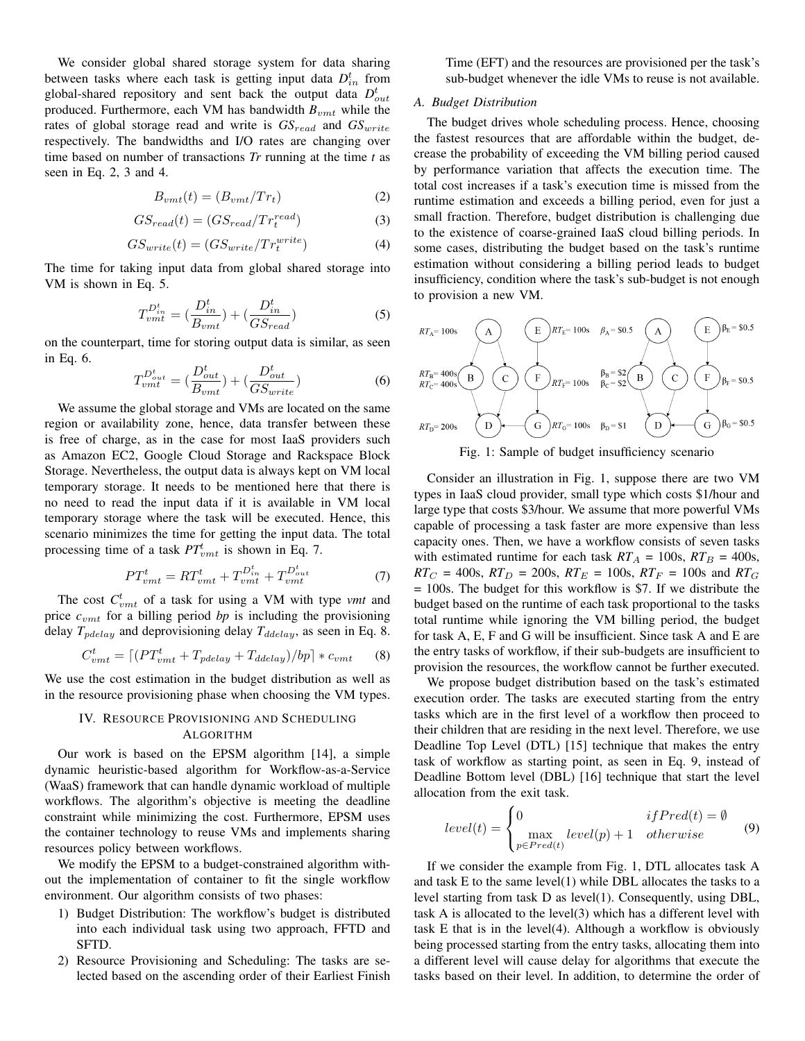We consider global shared storage system for data sharing between tasks where each task is getting input data  $D_{in}^{t}$  from global-shared repository and sent back the output data  $D_{out}^t$ produced. Furthermore, each VM has bandwidth  $B_{vmt}$  while the rates of global storage read and write is  $GS_{read}$  and  $GS_{write}$ respectively. The bandwidths and I/O rates are changing over time based on number of transactions *Tr* running at the time *t* as seen in Eq. 2, 3 and 4.

$$
B_{vmt}(t) = (B_{vmt}/Tr_t) \tag{2}
$$

$$
GS_{read}(t) = (GS_{read}/Tr_t^{read})
$$
\n(3)

$$
GS_{write}(t) = (GS_{write}/Tr_t^{write})
$$
\n(4)

The time for taking input data from global shared storage into VM is shown in Eq. 5.

$$
T_{vmt}^{D_{in}^t} = \left(\frac{D_{in}^t}{B_{vmt}}\right) + \left(\frac{D_{in}^t}{GS_{read}}\right) \tag{5}
$$

on the counterpart, time for storing output data is similar, as seen in Eq. 6.

$$
T_{vmt}^{D_{out}^t} = \left(\frac{D_{out}^t}{B_{vmt}}\right) + \left(\frac{D_{out}^t}{GS_{write}}\right) \tag{6}
$$

We assume the global storage and VMs are located on the same region or availability zone, hence, data transfer between these is free of charge, as in the case for most IaaS providers such as Amazon EC2, Google Cloud Storage and Rackspace Block Storage. Nevertheless, the output data is always kept on VM local temporary storage. It needs to be mentioned here that there is no need to read the input data if it is available in VM local temporary storage where the task will be executed. Hence, this scenario minimizes the time for getting the input data. The total processing time of a task  $PT_{vmt}$  is shown in Eq. 7.

$$
PT_{vmt}^{t} = RT_{vmt}^{t} + T_{vmt}^{D_{in}^{t}} + T_{vmt}^{D_{out}^{t}} \tag{7}
$$

The cost  $C_{vmt}^t$  of a task for using a VM with type *vmt* and price  $c<sub>vmt</sub>$  for a billing period *bp* is including the provisioning delay  $T_{pdelay}$  and deprovisioning delay  $T_{delay}$ , as seen in Eq. 8.

$$
C_{vmt}^t = \left[ \left( PT_{vmt}^t + T_{pdelay} + T_{ddelay} \right) / bp \right] * c_{vmt} \tag{8}
$$

We use the cost estimation in the budget distribution as well as in the resource provisioning phase when choosing the VM types.

# IV. RESOURCE PROVISIONING AND SCHEDULING ALGORITHM

Our work is based on the EPSM algorithm [14], a simple dynamic heuristic-based algorithm for Workflow-as-a-Service (WaaS) framework that can handle dynamic workload of multiple workflows. The algorithm's objective is meeting the deadline constraint while minimizing the cost. Furthermore, EPSM uses the container technology to reuse VMs and implements sharing resources policy between workflows.

We modify the EPSM to a budget-constrained algorithm without the implementation of container to fit the single workflow environment. Our algorithm consists of two phases:

- 1) Budget Distribution: The workflow's budget is distributed into each individual task using two approach, FFTD and SFTD.
- 2) Resource Provisioning and Scheduling: The tasks are selected based on the ascending order of their Earliest Finish

Time (EFT) and the resources are provisioned per the task's sub-budget whenever the idle VMs to reuse is not available.

# *A. Budget Distribution*

The budget drives whole scheduling process. Hence, choosing the fastest resources that are affordable within the budget, decrease the probability of exceeding the VM billing period caused by performance variation that affects the execution time. The total cost increases if a task's execution time is missed from the runtime estimation and exceeds a billing period, even for just a small fraction. Therefore, budget distribution is challenging due to the existence of coarse-grained IaaS cloud billing periods. In some cases, distributing the budget based on the task's runtime estimation without considering a billing period leads to budget insufficiency, condition where the task's sub-budget is not enough to provision a new VM.



Fig. 1: Sample of budget insufficiency scenario

Consider an illustration in Fig. 1, suppose there are two VM types in IaaS cloud provider, small type which costs \$1/hour and large type that costs \$3/hour. We assume that more powerful VMs capable of processing a task faster are more expensive than less capacity ones. Then, we have a workflow consists of seven tasks with estimated runtime for each task  $RT_A = 100s$ ,  $RT_B = 400s$ ,  $RT_C = 400$ s,  $RT_D = 200$ s,  $RT_E = 100$ s,  $RT_F = 100$ s and  $RT_G$ = 100s. The budget for this workflow is \$7. If we distribute the budget based on the runtime of each task proportional to the tasks total runtime while ignoring the VM billing period, the budget for task A, E, F and G will be insufficient. Since task A and E are the entry tasks of workflow, if their sub-budgets are insufficient to provision the resources, the workflow cannot be further executed.

We propose budget distribution based on the task's estimated execution order. The tasks are executed starting from the entry tasks which are in the first level of a workflow then proceed to their children that are residing in the next level. Therefore, we use Deadline Top Level (DTL) [15] technique that makes the entry task of workflow as starting point, as seen in Eq. 9, instead of Deadline Bottom level (DBL) [16] technique that start the level allocation from the exit task.

$$
level(t) = \begin{cases} 0 & ifPred(t) = \emptyset \\ \max_{p \in Pred(t)} level(p) + 1 & otherwise \end{cases}
$$
(9)

If we consider the example from Fig. 1, DTL allocates task A and task E to the same level(1) while DBL allocates the tasks to a level starting from task D as level(1). Consequently, using DBL, task A is allocated to the level(3) which has a different level with task E that is in the level(4). Although a workflow is obviously being processed starting from the entry tasks, allocating them into a different level will cause delay for algorithms that execute the tasks based on their level. In addition, to determine the order of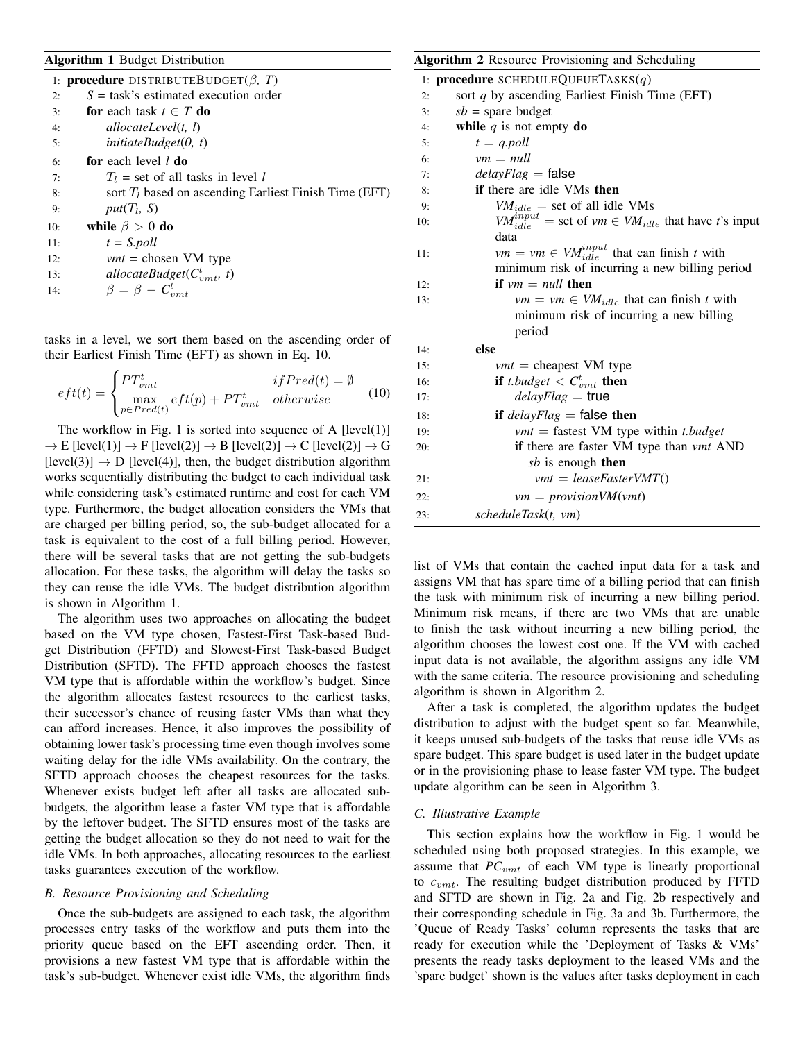### Algorithm 1 Budget Distribution

| 1: <b>procedure</b> DISTRIBUTEBUDGET( $\beta$ , T) |                                                          |  |  |  |  |  |
|----------------------------------------------------|----------------------------------------------------------|--|--|--|--|--|
| 2:                                                 | $S =$ task's estimated execution order                   |  |  |  |  |  |
| 3:                                                 | for each task $t \in T$ do                               |  |  |  |  |  |
| 4:                                                 | allocateLevel $(t, l)$                                   |  |  |  |  |  |
| 5:                                                 | initiateBudget(0, t)                                     |  |  |  |  |  |
| 6:                                                 | for each level l do                                      |  |  |  |  |  |
| 7:                                                 | $T_l$ = set of all tasks in level l                      |  |  |  |  |  |
| 8:                                                 | sort $T_l$ based on ascending Earliest Finish Time (EFT) |  |  |  |  |  |
| 9:                                                 | $put(T_l, S)$                                            |  |  |  |  |  |
| 10:                                                | while $\beta > 0$ do                                     |  |  |  |  |  |
| 11:                                                | $t = S1$                                                 |  |  |  |  |  |
| 12:                                                | $vmt = chosen VM$ type                                   |  |  |  |  |  |
| 13:                                                | allocateBudget( $C_{nm+}^t$ , t)                         |  |  |  |  |  |
| 14:                                                | $\beta = \beta - C_{vmt}^t$                              |  |  |  |  |  |

tasks in a level, we sort them based on the ascending order of their Earliest Finish Time (EFT) as shown in Eq. 10.

$$
eff(t) = \begin{cases} PT_{vmt}^t & if Pred(t) = \emptyset \\ \max_{p \in Pred(t)} eff(p) + PT_{vmt}^t & otherwise \end{cases}
$$
 (10)

The workflow in Fig. 1 is sorted into sequence of A  $[level(1)]$  $\rightarrow$  E [level(1)]  $\rightarrow$  F [level(2)]  $\rightarrow$  B [level(2)]  $\rightarrow$  C [level(2)]  $\rightarrow$  G  $[level(3)] \rightarrow D$   $[level(4)]$ , then, the budget distribution algorithm works sequentially distributing the budget to each individual task while considering task's estimated runtime and cost for each VM type. Furthermore, the budget allocation considers the VMs that are charged per billing period, so, the sub-budget allocated for a task is equivalent to the cost of a full billing period. However, there will be several tasks that are not getting the sub-budgets allocation. For these tasks, the algorithm will delay the tasks so they can reuse the idle VMs. The budget distribution algorithm is shown in Algorithm 1.

The algorithm uses two approaches on allocating the budget based on the VM type chosen, Fastest-First Task-based Budget Distribution (FFTD) and Slowest-First Task-based Budget Distribution (SFTD). The FFTD approach chooses the fastest VM type that is affordable within the workflow's budget. Since the algorithm allocates fastest resources to the earliest tasks, their successor's chance of reusing faster VMs than what they can afford increases. Hence, it also improves the possibility of obtaining lower task's processing time even though involves some waiting delay for the idle VMs availability. On the contrary, the SFTD approach chooses the cheapest resources for the tasks. Whenever exists budget left after all tasks are allocated subbudgets, the algorithm lease a faster VM type that is affordable by the leftover budget. The SFTD ensures most of the tasks are getting the budget allocation so they do not need to wait for the idle VMs. In both approaches, allocating resources to the earliest tasks guarantees execution of the workflow.

#### *B. Resource Provisioning and Scheduling*

Once the sub-budgets are assigned to each task, the algorithm processes entry tasks of the workflow and puts them into the priority queue based on the EFT ascending order. Then, it provisions a new fastest VM type that is affordable within the task's sub-budget. Whenever exist idle VMs, the algorithm finds

# 1: procedure SCHEDULEQUEUETASKS(*q*) 2: sort *q* by ascending Earliest Finish Time (EFT) 3:  $sb = \text{spare budget}$ 4: **while**  $q$  is not empty **do** 5:  $t = q{.}poll$  $6:$   $vm = null$ 7: *delayFlag* = false 8: if there are idle VMs then 9:  $VM_{idle}$  = set of all idle VMs 10: *VM*<sup> $input$ </sup><sub>*idle*</sub> = set of *vm*  $\in$  *VM*<sub>*idle*</sub> that have *t*'s input data 11:  $vm = \nu m \in VM_{idle}^{input}$  that can finish *t* with minimum risk of incurring a new billing period 12: **if**  $vm = null$  then 13:  $vm = ym \in VM_{idle}$  that can finish *t* with minimum risk of incurring a new billing period 14: else 15: *vmt* = cheapest VM type 16: **if** *t.budget*  $\lt C_{vmt}^t$  **then** 17: *delayFlag* = true 18: if *delayFlag* = false then 19: *vmt* = fastest VM type within *t.budget* 20: if there are faster VM type than *vmt* AND *sb* is enough then 21: *vmt* = *leaseFasterVMT*() 22: *vm* = *provisionVM*(*vmt*) 23: *scheduleTask*(*t, vm*)

Algorithm 2 Resource Provisioning and Scheduling

list of VMs that contain the cached input data for a task and assigns VM that has spare time of a billing period that can finish the task with minimum risk of incurring a new billing period. Minimum risk means, if there are two VMs that are unable to finish the task without incurring a new billing period, the algorithm chooses the lowest cost one. If the VM with cached input data is not available, the algorithm assigns any idle VM with the same criteria. The resource provisioning and scheduling algorithm is shown in Algorithm 2.

After a task is completed, the algorithm updates the budget distribution to adjust with the budget spent so far. Meanwhile, it keeps unused sub-budgets of the tasks that reuse idle VMs as spare budget. This spare budget is used later in the budget update or in the provisioning phase to lease faster VM type. The budget update algorithm can be seen in Algorithm 3.

#### *C. Illustrative Example*

This section explains how the workflow in Fig. 1 would be scheduled using both proposed strategies. In this example, we assume that  $PC<sub>vm</sub>$  of each VM type is linearly proportional to *c*vmt. The resulting budget distribution produced by FFTD and SFTD are shown in Fig. 2a and Fig. 2b respectively and their corresponding schedule in Fig. 3a and 3b. Furthermore, the 'Queue of Ready Tasks' column represents the tasks that are ready for execution while the 'Deployment of Tasks & VMs' presents the ready tasks deployment to the leased VMs and the 'spare budget' shown is the values after tasks deployment in each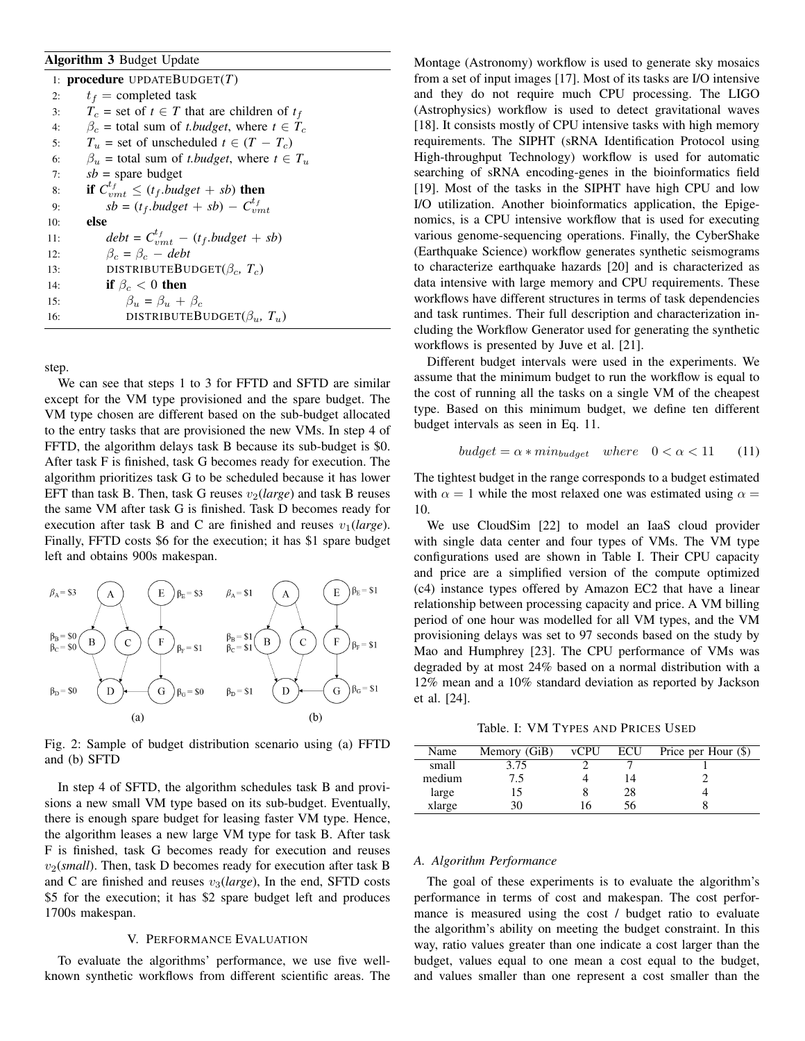# Algorithm 3 Budget Update

| 1: <b>procedure</b> UPDATEBUDGET $(T)$ |                                                              |  |  |  |  |  |
|----------------------------------------|--------------------------------------------------------------|--|--|--|--|--|
| 2:                                     | $t_f$ = completed task                                       |  |  |  |  |  |
| 3:                                     | $T_c$ = set of $t \in T$ that are children of $t_f$          |  |  |  |  |  |
| 4:                                     | $\beta_c$ = total sum of <i>t.budget</i> , where $t \in T_c$ |  |  |  |  |  |
| 5:                                     | $T_u$ = set of unscheduled $t \in (T - T_c)$                 |  |  |  |  |  |
| 6:                                     | $\beta_u$ = total sum of <i>t.budget</i> , where $t \in T_u$ |  |  |  |  |  |
| 7:                                     | $sb =$ spare budget                                          |  |  |  |  |  |
| 8:                                     | if $C_{vmt}^{t_f} \leq (t_f.budget + sb)$ then               |  |  |  |  |  |
| 9:                                     | $sb = (t_f.budge t + sb) - C^{t_f}_{vmt}$                    |  |  |  |  |  |
| 10:                                    | else                                                         |  |  |  |  |  |
| 11:                                    | $debt = C^{t_f}_{nmt} - (t_f.budget + sb)$                   |  |  |  |  |  |
| 12:                                    | $\beta_c = \beta_c - debt$                                   |  |  |  |  |  |
| 13:                                    | DISTRIBUTEBUDGET $(\beta_c, T_c)$                            |  |  |  |  |  |
| 14:                                    | if $\beta_c < 0$ then                                        |  |  |  |  |  |
| 15:                                    | $\beta_u = \beta_u + \beta_c$                                |  |  |  |  |  |
| 16:                                    | DISTRIBUTEBUDGET $(\beta_u, T_u)$                            |  |  |  |  |  |

step.

We can see that steps 1 to 3 for FFTD and SFTD are similar except for the VM type provisioned and the spare budget. The VM type chosen are different based on the sub-budget allocated to the entry tasks that are provisioned the new VMs. In step 4 of FFTD, the algorithm delays task B because its sub-budget is \$0. After task F is finished, task G becomes ready for execution. The algorithm prioritizes task G to be scheduled because it has lower EFT than task B. Then, task G reuses  $v_2$ (*large*) and task B reuses the same VM after task G is finished. Task D becomes ready for execution after task B and C are finished and reuses  $v_1(large)$ . Finally, FFTD costs \$6 for the execution; it has \$1 spare budget left and obtains 900s makespan.



Fig. 2: Sample of budget distribution scenario using (a) FFTD and (b) SFTD

In step 4 of SFTD, the algorithm schedules task B and provisions a new small VM type based on its sub-budget. Eventually, there is enough spare budget for leasing faster VM type. Hence, the algorithm leases a new large VM type for task B. After task F is finished, task G becomes ready for execution and reuses v2(*small*). Then, task D becomes ready for execution after task B and C are finished and reuses  $v_3(large)$ , In the end, SFTD costs \$5 for the execution; it has \$2 spare budget left and produces 1700s makespan.

#### V. PERFORMANCE EVALUATION

To evaluate the algorithms' performance, we use five wellknown synthetic workflows from different scientific areas. The Montage (Astronomy) workflow is used to generate sky mosaics from a set of input images [17]. Most of its tasks are I/O intensive and they do not require much CPU processing. The LIGO (Astrophysics) workflow is used to detect gravitational waves [18]. It consists mostly of CPU intensive tasks with high memory requirements. The SIPHT (sRNA Identification Protocol using High-throughput Technology) workflow is used for automatic searching of sRNA encoding-genes in the bioinformatics field [19]. Most of the tasks in the SIPHT have high CPU and low I/O utilization. Another bioinformatics application, the Epigenomics, is a CPU intensive workflow that is used for executing various genome-sequencing operations. Finally, the CyberShake (Earthquake Science) workflow generates synthetic seismograms to characterize earthquake hazards [20] and is characterized as data intensive with large memory and CPU requirements. These workflows have different structures in terms of task dependencies and task runtimes. Their full description and characterization including the Workflow Generator used for generating the synthetic workflows is presented by Juve et al. [21].

Different budget intervals were used in the experiments. We assume that the minimum budget to run the workflow is equal to the cost of running all the tasks on a single VM of the cheapest type. Based on this minimum budget, we define ten different budget intervals as seen in Eq. 11.

$$
budget = \alpha * min_{budget} \quad where \quad 0 < \alpha < 11 \tag{11}
$$

The tightest budget in the range corresponds to a budget estimated with  $\alpha = 1$  while the most relaxed one was estimated using  $\alpha =$ 10.

We use CloudSim [22] to model an IaaS cloud provider with single data center and four types of VMs. The VM type configurations used are shown in Table I. Their CPU capacity and price are a simplified version of the compute optimized (c4) instance types offered by Amazon EC2 that have a linear relationship between processing capacity and price. A VM billing period of one hour was modelled for all VM types, and the VM provisioning delays was set to 97 seconds based on the study by Mao and Humphrey [23]. The CPU performance of VMs was degraded by at most 24% based on a normal distribution with a 12% mean and a 10% standard deviation as reported by Jackson et al. [24].

Table. I: VM TYPES AND PRICES USED

| Name   | Memory (GiB) | <b>vCPU</b> | <b>ECU</b> | Price per Hour $(\$)$ |
|--------|--------------|-------------|------------|-----------------------|
| small  | 3.75         |             |            |                       |
| medium |              |             |            |                       |
| large  |              |             | 28         |                       |
| xlarge |              |             |            |                       |

## *A. Algorithm Performance*

The goal of these experiments is to evaluate the algorithm's performance in terms of cost and makespan. The cost performance is measured using the cost / budget ratio to evaluate the algorithm's ability on meeting the budget constraint. In this way, ratio values greater than one indicate a cost larger than the budget, values equal to one mean a cost equal to the budget, and values smaller than one represent a cost smaller than the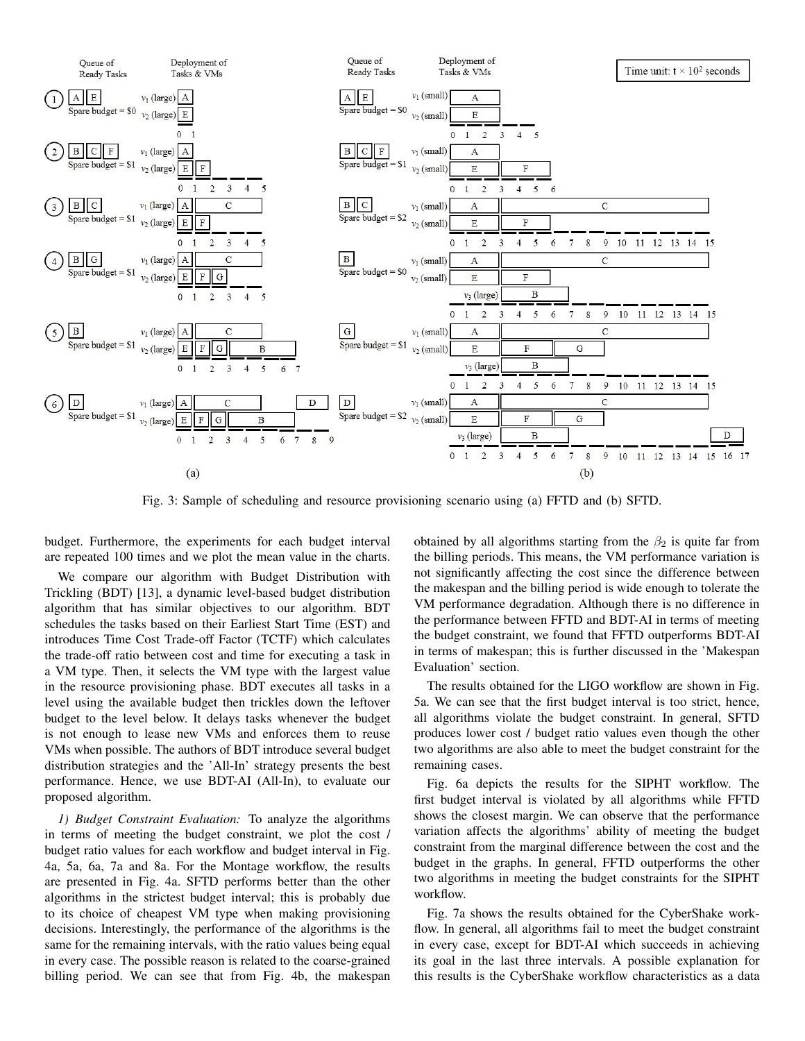

Fig. 3: Sample of scheduling and resource provisioning scenario using (a) FFTD and (b) SFTD.

budget. Furthermore, the experiments for each budget interval are repeated 100 times and we plot the mean value in the charts.

We compare our algorithm with Budget Distribution with Trickling (BDT) [13], a dynamic level-based budget distribution algorithm that has similar objectives to our algorithm. BDT schedules the tasks based on their Earliest Start Time (EST) and introduces Time Cost Trade-off Factor (TCTF) which calculates the trade-off ratio between cost and time for executing a task in a VM type. Then, it selects the VM type with the largest value in the resource provisioning phase. BDT executes all tasks in a level using the available budget then trickles down the leftover budget to the level below. It delays tasks whenever the budget is not enough to lease new VMs and enforces them to reuse VMs when possible. The authors of BDT introduce several budget distribution strategies and the 'All-In' strategy presents the best performance. Hence, we use BDT-AI (All-In), to evaluate our proposed algorithm.

*1) Budget Constraint Evaluation:* To analyze the algorithms in terms of meeting the budget constraint, we plot the cost / budget ratio values for each workflow and budget interval in Fig. 4a, 5a, 6a, 7a and 8a. For the Montage workflow, the results are presented in Fig. 4a. SFTD performs better than the other algorithms in the strictest budget interval; this is probably due to its choice of cheapest VM type when making provisioning decisions. Interestingly, the performance of the algorithms is the same for the remaining intervals, with the ratio values being equal in every case. The possible reason is related to the coarse-grained billing period. We can see that from Fig. 4b, the makespan obtained by all algorithms starting from the  $\beta_2$  is quite far from the billing periods. This means, the VM performance variation is not significantly affecting the cost since the difference between the makespan and the billing period is wide enough to tolerate the VM performance degradation. Although there is no difference in the performance between FFTD and BDT-AI in terms of meeting the budget constraint, we found that FFTD outperforms BDT-AI in terms of makespan; this is further discussed in the 'Makespan Evaluation' section.

The results obtained for the LIGO workflow are shown in Fig. 5a. We can see that the first budget interval is too strict, hence, all algorithms violate the budget constraint. In general, SFTD produces lower cost / budget ratio values even though the other two algorithms are also able to meet the budget constraint for the remaining cases.

Fig. 6a depicts the results for the SIPHT workflow. The first budget interval is violated by all algorithms while FFTD shows the closest margin. We can observe that the performance variation affects the algorithms' ability of meeting the budget constraint from the marginal difference between the cost and the budget in the graphs. In general, FFTD outperforms the other two algorithms in meeting the budget constraints for the SIPHT workflow.

Fig. 7a shows the results obtained for the CyberShake workflow. In general, all algorithms fail to meet the budget constraint in every case, except for BDT-AI which succeeds in achieving its goal in the last three intervals. A possible explanation for this results is the CyberShake workflow characteristics as a data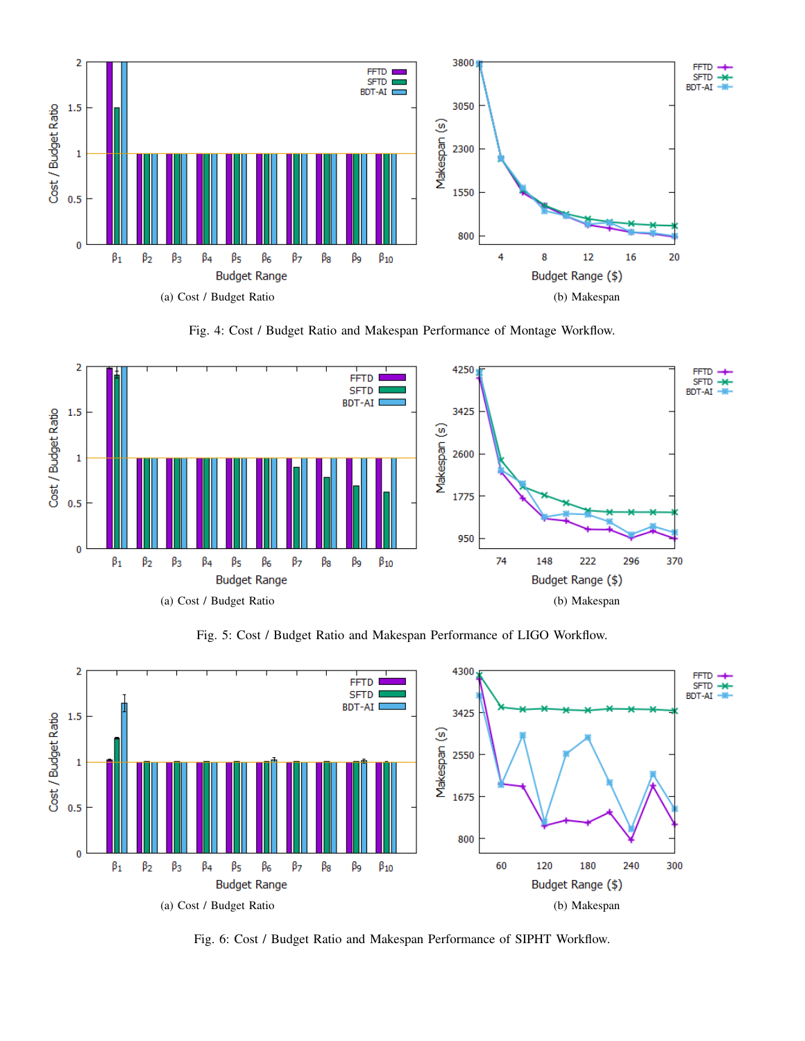

Fig. 4: Cost / Budget Ratio and Makespan Performance of Montage Workflow.



Fig. 5: Cost / Budget Ratio and Makespan Performance of LIGO Workflow.



Fig. 6: Cost / Budget Ratio and Makespan Performance of SIPHT Workflow.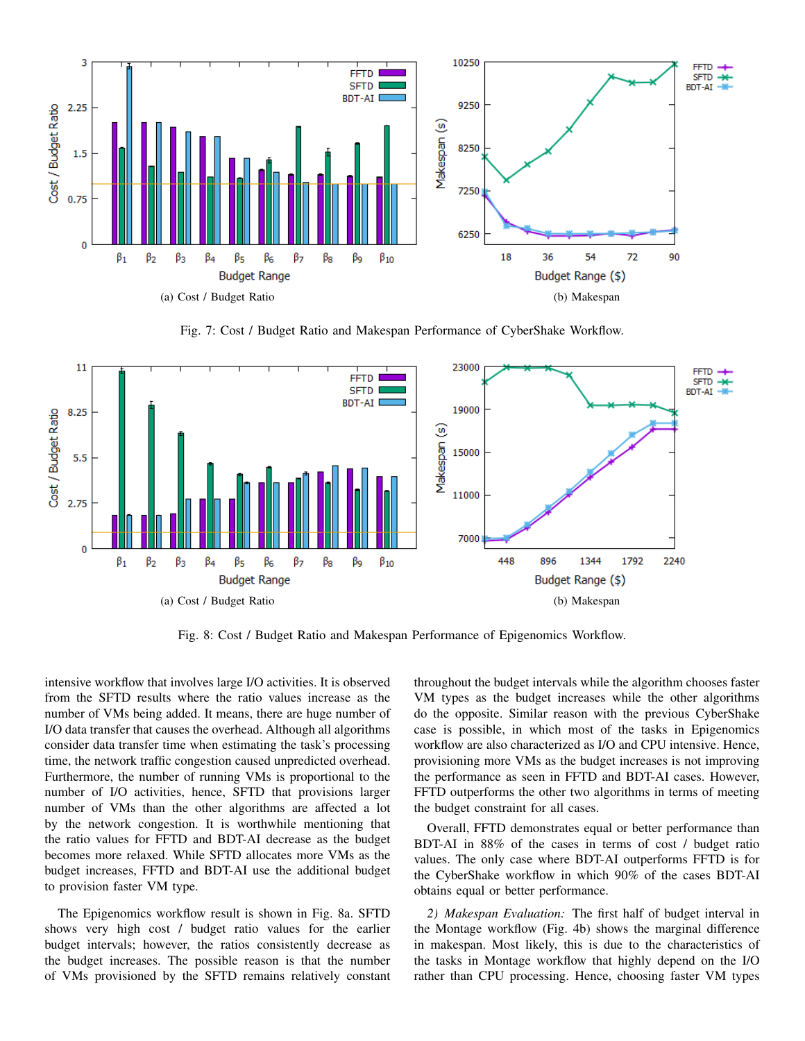

Fig. 7: Cost / Budget Ratio and Makespan Performance of CyberShake Workflow.



Fig. 8: Cost / Budget Ratio and Makespan Performance of Epigenomics Workflow.

intensive workflow that involves large I/O activities. It is observed from the SFTD results where the ratio values increase as the number of VMs being added. It means, there are huge number of I/O data transfer that causes the overhead. Although all algorithms consider data transfer time when estimating the task's processing time, the network traffic congestion caused unpredicted overhead. Furthermore, the number of running VMs is proportional to the number of I/O activities, hence, SFTD that provisions larger number of VMs than the other algorithms are affected a lot by the network congestion. It is worthwhile mentioning that the ratio values for FFTD and BDT-AI decrease as the budget becomes more relaxed. While SFTD allocates more VMs as the budget increases, FFTD and BDT-AI use the additional budget to provision faster VM type.

The Epigenomics workflow result is shown in Fig. 8a. SFTD shows very high cost / budget ratio values for the earlier budget intervals; however, the ratios consistently decrease as the budget increases. The possible reason is that the number of VMs provisioned by the SFTD remains relatively constant throughout the budget intervals while the algorithm chooses faster VM types as the budget increases while the other algorithms do the opposite. Similar reason with the previous CyberShake case is possible, in which most of the tasks in Epigenomics workflow are also characterized as I/O and CPU intensive. Hence, provisioning more VMs as the budget increases is not improving the performance as seen in FFTD and BDT-AI cases. However, FFTD outperforms the other two algorithms in terms of meeting the budget constraint for all cases.

Overall, FFTD demonstrates equal or better performance than BDT-AI in 88% of the cases in terms of cost / budget ratio values. The only case where BDT-AI outperforms FFTD is for the CyberShake workflow in which 90% of the cases BDT-AI obtains equal or better performance.

*2) Makespan Evaluation:* The first half of budget interval in the Montage workflow (Fig. 4b) shows the marginal difference in makespan. Most likely, this is due to the characteristics of the tasks in Montage workflow that highly depend on the I/O rather than CPU processing. Hence, choosing faster VM types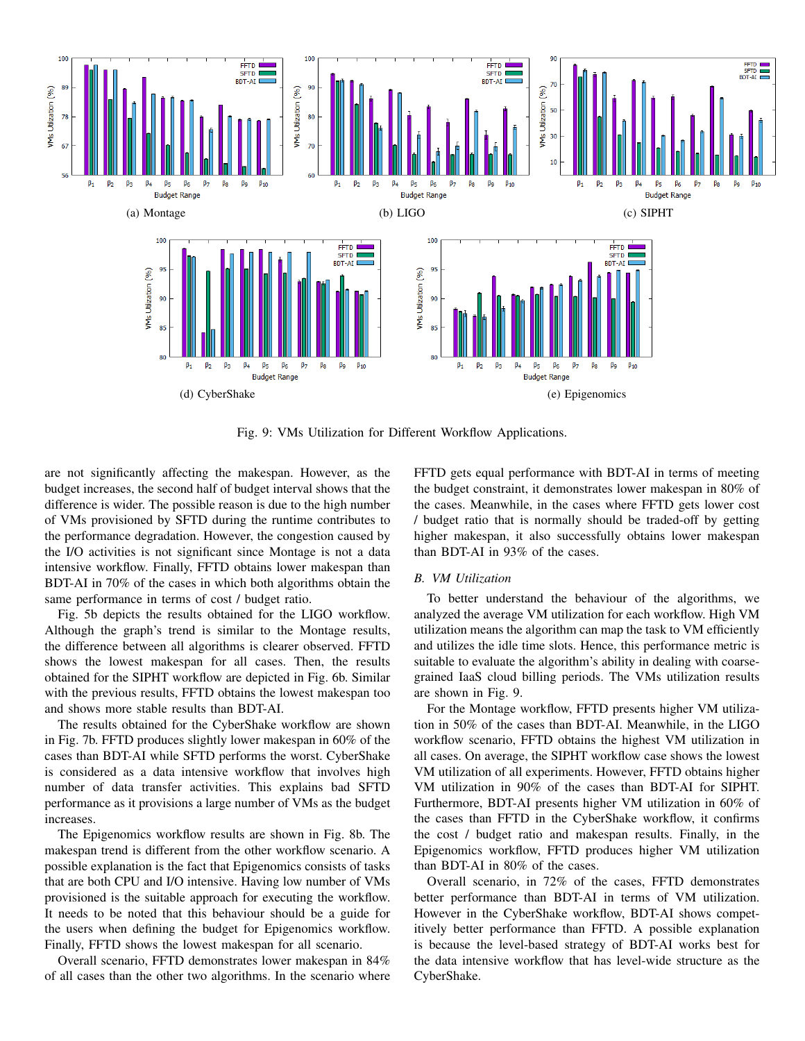

Fig. 9: VMs Utilization for Different Workflow Applications.

are not significantly affecting the makespan. However, as the budget increases, the second half of budget interval shows that the difference is wider. The possible reason is due to the high number of VMs provisioned by SFTD during the runtime contributes to the performance degradation. However, the congestion caused by the I/O activities is not significant since Montage is not a data intensive workflow. Finally, FFTD obtains lower makespan than BDT-AI in 70% of the cases in which both algorithms obtain the same performance in terms of cost / budget ratio.

Fig. 5b depicts the results obtained for the LIGO workflow. Although the graph's trend is similar to the Montage results, the difference between all algorithms is clearer observed. FFTD shows the lowest makespan for all cases. Then, the results obtained for the SIPHT workflow are depicted in Fig. 6b. Similar with the previous results, FFTD obtains the lowest makespan too and shows more stable results than BDT-AI.

The results obtained for the CyberShake workflow are shown in Fig. 7b. FFTD produces slightly lower makespan in 60% of the cases than BDT-AI while SFTD performs the worst. CyberShake is considered as a data intensive workflow that involves high number of data transfer activities. This explains bad SFTD performance as it provisions a large number of VMs as the budget increases.

The Epigenomics workflow results are shown in Fig. 8b. The makespan trend is different from the other workflow scenario. A possible explanation is the fact that Epigenomics consists of tasks that are both CPU and I/O intensive. Having low number of VMs provisioned is the suitable approach for executing the workflow. It needs to be noted that this behaviour should be a guide for the users when defining the budget for Epigenomics workflow. Finally, FFTD shows the lowest makespan for all scenario.

Overall scenario, FFTD demonstrates lower makespan in 84% of all cases than the other two algorithms. In the scenario where FFTD gets equal performance with BDT-AI in terms of meeting the budget constraint, it demonstrates lower makespan in 80% of the cases. Meanwhile, in the cases where FFTD gets lower cost / budget ratio that is normally should be traded-off by getting higher makespan, it also successfully obtains lower makespan than BDT-AI in 93% of the cases.

# *B. VM Utilization*

To better understand the behaviour of the algorithms, we analyzed the average VM utilization for each workflow. High VM utilization means the algorithm can map the task to VM efficiently and utilizes the idle time slots. Hence, this performance metric is suitable to evaluate the algorithm's ability in dealing with coarsegrained IaaS cloud billing periods. The VMs utilization results are shown in Fig. 9.

For the Montage workflow, FFTD presents higher VM utilization in 50% of the cases than BDT-AI. Meanwhile, in the LIGO workflow scenario, FFTD obtains the highest VM utilization in all cases. On average, the SIPHT workflow case shows the lowest VM utilization of all experiments. However, FFTD obtains higher VM utilization in 90% of the cases than BDT-AI for SIPHT. Furthermore, BDT-AI presents higher VM utilization in 60% of the cases than FFTD in the CyberShake workflow, it confirms the cost / budget ratio and makespan results. Finally, in the Epigenomics workflow, FFTD produces higher VM utilization than BDT-AI in 80% of the cases.

Overall scenario, in 72% of the cases, FFTD demonstrates better performance than BDT-AI in terms of VM utilization. However in the CyberShake workflow, BDT-AI shows competitively better performance than FFTD. A possible explanation is because the level-based strategy of BDT-AI works best for the data intensive workflow that has level-wide structure as the CyberShake.